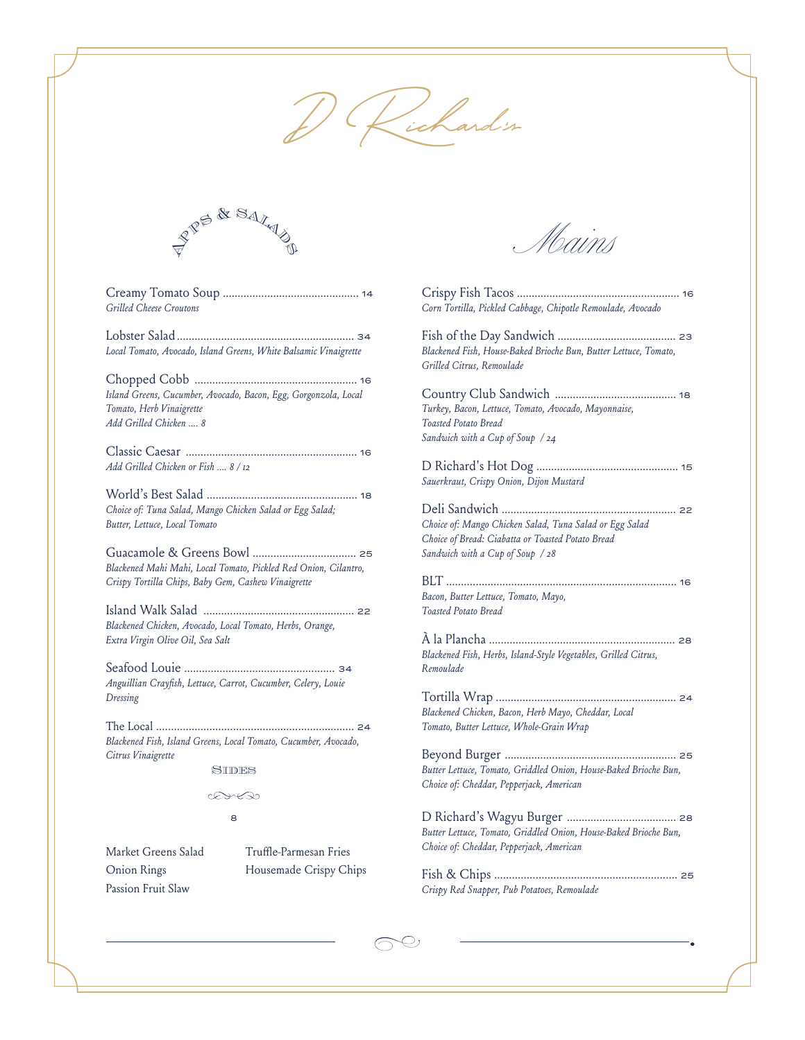



Creamy Tomato Soup .............................................. <sup>14</sup> *Grilled Cheese Croutons*

Lobster Salad............................................................ <sup>34</sup> *Local Tomato, Avocado, Island Greens, White Balsamic Vinaigrette*

Chopped Cobb ....................................................... <sup>16</sup> *Island Greens, Cucumber, Avocado, Bacon, Egg, Gorgonzola, Local Tomato, Herb Vinaigrette Add Grilled Chicken .... 8* 

Classic Caesar .......................................................... <sup>16</sup> *Add Grilled Chicken or Fish .... 8 / 12*

World's Best Salad ................................................... <sup>18</sup> *Choice of: Tuna Salad, Mango Chicken Salad or Egg Salad; Butter, Lettuce, Local Tomato*

Guacamole & Greens Bowl ................................... <sup>25</sup> *Blackened Mahi Mahi, Local Tomato, Pickled Red Onion, Cilantro, Crispy Tortilla Chips, Baby Gem, Cashew Vinaigrette*

Island Walk Salad ................................................... <sup>22</sup> *Blackened Chicken, Avocado, Local Tomato, Herbs, Orange, Extra Virgin Olive Oil, Sea Salt*

Seafood Louie ...................................................<sup>34</sup> *Anguillian Crayfish, Lettuce, Carrot, Cucumber, Celery, Louie Dressing*

The Local ................................................................... <sup>24</sup> *Blackened Fish, Island Greens, Local Tomato, Cucumber, Avocado, Citrus Vinaigrette*

**SIDES** 

ExE

8

Market Greens Salad Onion Rings Passion Fruit Slaw

Truffle-Parmesan Fries Housemade Crispy Chips

| Corn Tortilla, Pickled Cabbage, Chipotle Remoulade, Avocado                                                                                      |
|--------------------------------------------------------------------------------------------------------------------------------------------------|
| Blackened Fish, House-Baked Brioche Bun, Butter Lettuce, Tomato,<br>Grilled Citrus, Remoulade                                                    |
| Turkey, Bacon, Lettuce, Tomato, Avocado, Mayonnaise,<br>Toasted Potato Bread<br>Sandwich with a Cup of Soup / 24                                 |
| Sauerkraut, Crispy Onion, Dijon Mustard                                                                                                          |
| Choice of: Mango Chicken Salad, Tuna Salad or Egg Salad<br>Choice of Bread: Ciabatta or Toasted Potato Bread<br>Sandwich with a Cup of Soup / 28 |
| Bacon, Butter Lettuce, Tomato, Mayo,<br>Toasted Potato Bread                                                                                     |
| 28<br>Blackened Fish, Herbs, Island-Style Vegetables, Grilled Citrus,<br>Remoulade                                                               |
| Blackened Chicken, Bacon, Herb Mayo, Cheddar, Local<br>Tomato, Butter Lettuce, Whole-Grain Wrap                                                  |
| Butter Lettuce, Tomato, Griddled Onion, House-Baked Brioche Bun,<br>Choice of: Cheddar, Pepperjack, American                                     |
| Butter Lettuce, Tomato, Griddled Onion, House-Baked Brioche Bun,<br>Choice of: Cheddar, Pepperjack, American                                     |
| Crispy Red Snapper, Pub Potatoes, Remoulade                                                                                                      |